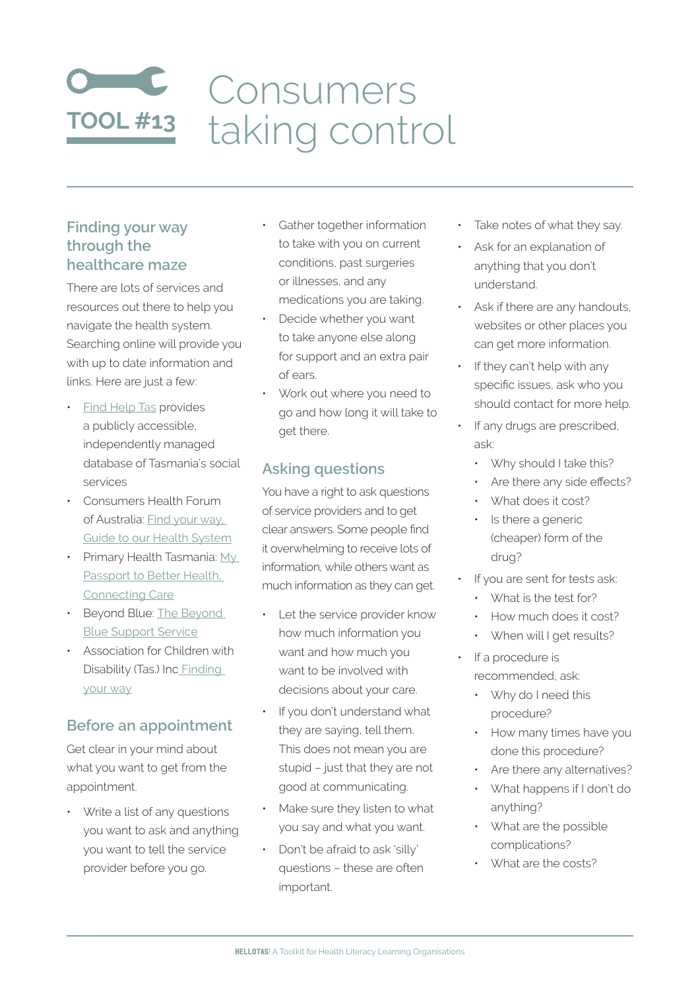# **TOOL #13** Consumers taking control

# **Finding your way through the healthcare maze**

There are lots of services and resources out there to help you navigate the health system. Searching online will provide you with up to date information and links. Here are just a few:

- **Find [Help](http://findhelptas.com.au/) Tas provides** a publicly accessible, independently managed database of Tasmania's social services
- Consumers Health Forum of Australia: Find [your](http://www.ourconsumerplace.com.au/consumer/article?id=5694) way, Guide to our Health [System](http://www.ourconsumerplace.com.au/consumer/article?id=5694)
- Primary Health Tasmania:  $Mv$ [Passport](http://www.primaryhealthtas.com.au/resources/passport-better-health) to Better Health, [Connecting](http://www.primaryhealthtas.com.au/resources/passport-better-health) Care
- [Beyond](https://www.beyondblue.org.au/get-support/get-immediate-support) Blue: The Beyond Blue [Support](https://www.beyondblue.org.au/get-support/get-immediate-support) Service
- Association for Children with Disability (Tas.) Inc [Finding](http://findingyourway.com.au/) [your](http://findingyourway.com.au/) way

# **Before an appointment**

Get clear in your mind about what you want to get from the appointment.

• Write a list of any questions you want to ask and anything you want to tell the service provider before you go.

- Gather together information to take with you on current conditions, past surgeries or illnesses, and any medications you are taking.
- Decide whether you want to take anyone else along for support and an extra pair of ears.
- Work out where you need to go and how long it will take to get there.

# **Asking questions**

You have a right to ask questions of service providers and to get clear answers. Some people find it overwhelming to receive lots of information, while others want as much information as they can get.

- Let the service provider know how much information you want and how much you want to be involved with decisions about your care.
- If you don't understand what they are saying, tell them. This does not mean you are stupid – just that they are not good at communicating.
- Make sure they listen to what you say and what you want.
- Don't be afraid to ask 'silly' questions – these are often important.
- Take notes of what they say.
- Ask for an explanation of anything that you don't understand.
- Ask if there are any handouts, websites or other places you can get more information.
- If they can't help with any specific issues, ask who you should contact for more help.
- If any drugs are prescribed, ask:
	- Why should I take this?
	- Are there any side effects?
	- What does it cost?
	- Is there a generic (cheaper) form of the drug?
- If you are sent for tests ask:
	- What is the test for?
- How much does it cost?
- When will I get results?
- If a procedure is recommended, ask:
	- Why do I need this procedure?
	- How many times have you done this procedure?
	- Are there any alternatives?
	- What happens if I don't do anything?
	- What are the possible complications?
	- What are the costs?